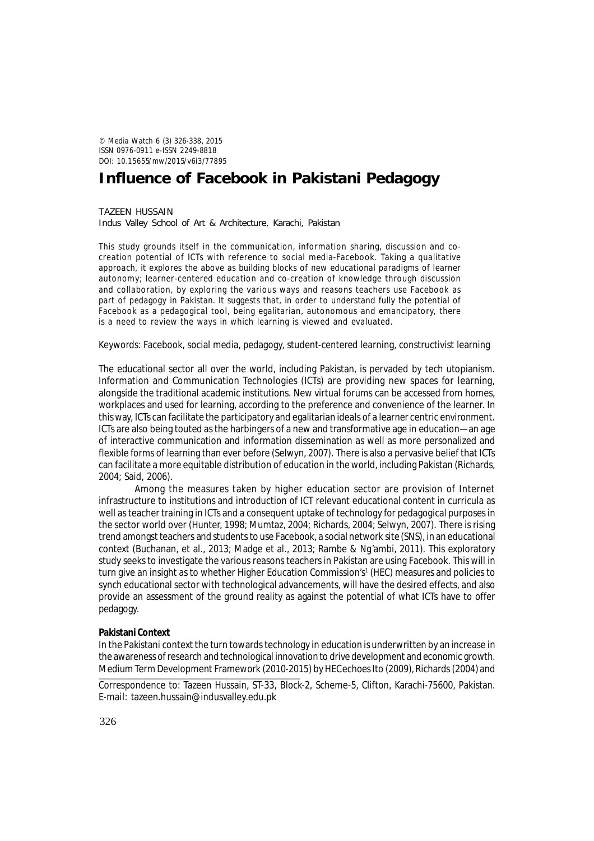© *Media Watch* 6 (3) 326-338, 2015 ISSN 0976-0911 e-ISSN 2249-8818 DOI: 10.15655/mw/2015/v6i3/77895

# **Influence of Facebook in Pakistani Pedagogy**

TAZEEN HUSSAIN Indus Valley School of Art & Architecture, Karachi, Pakistan

This study grounds itself in the communication, information sharing, discussion and cocreation potential of ICTs with reference to social media-Facebook. Taking a qualitative approach, it explores the above as building blocks of new educational paradigms of learner autonomy; learner-centered education and co-creation of knowledge through discussion and collaboration, by exploring the various ways and reasons teachers use Facebook as part of pedagogy in Pakistan. It suggests that, in order to understand fully the potential of Facebook as a pedagogical tool, being egalitarian, autonomous and emancipatory, there is a need to review the ways in which learning is viewed and evaluated.

Keywords: Facebook, social media, pedagogy, student-centered learning, constructivist learning

The educational sector all over the world, including Pakistan, is pervaded by tech utopianism. Information and Communication Technologies (ICTs) are providing new spaces for learning, alongside the traditional academic institutions. New virtual forums can be accessed from homes, workplaces and used for learning, according to the preference and convenience of the learner. In this way, ICTs can facilitate the participatory and egalitarian ideals of a learner centric environment. ICTs are also being touted as the harbingers of a new and transformative age in education—an age of interactive communication and information dissemination as well as more personalized and flexible forms of learning than ever before (Selwyn, 2007). There is also a pervasive belief that ICTs can facilitate a more equitable distribution of education in the world, including Pakistan (Richards, 2004; Said, 2006).

Among the measures taken by higher education sector are provision of Internet infrastructure to institutions and introduction of ICT relevant educational content in curricula as well as teacher training in ICTs and a consequent uptake of technology for pedagogical purposes in the sector world over (Hunter, 1998; Mumtaz, 2004; Richards, 2004; Selwyn, 2007). There is rising trend amongst teachers and students to use Facebook, a social network site (SNS), in an educational context (Buchanan, et al., 2013; Madge et al., 2013; Rambe & Ng'ambi, 2011). This exploratory study seeks to investigate the various reasons teachers in Pakistan are using Facebook. This will in turn give an insight as to whether Higher Education Commission's<sup>1</sup> (HEC) measures and policies to synch educational sector with technological advancements, will have the desired effects, and also provide an assessment of the ground reality as against the potential of what ICTs have to offer pedagogy.

# **Pakistani Context**

In the Pakistani context the turn towards technology in education is underwritten by an increase in the awareness of research and technological innovation to drive development and economic growth. Medium Term Development Framework (2010-2015) by HECechoes Ito (2009), Richards (2004) and

Correspondence to: Tazeen Hussain, ST-33, Block-2, Scheme-5, Clifton, Karachi-75600, Pakistan. E-mail: tazeen.hussain@indusvalley.edu.pk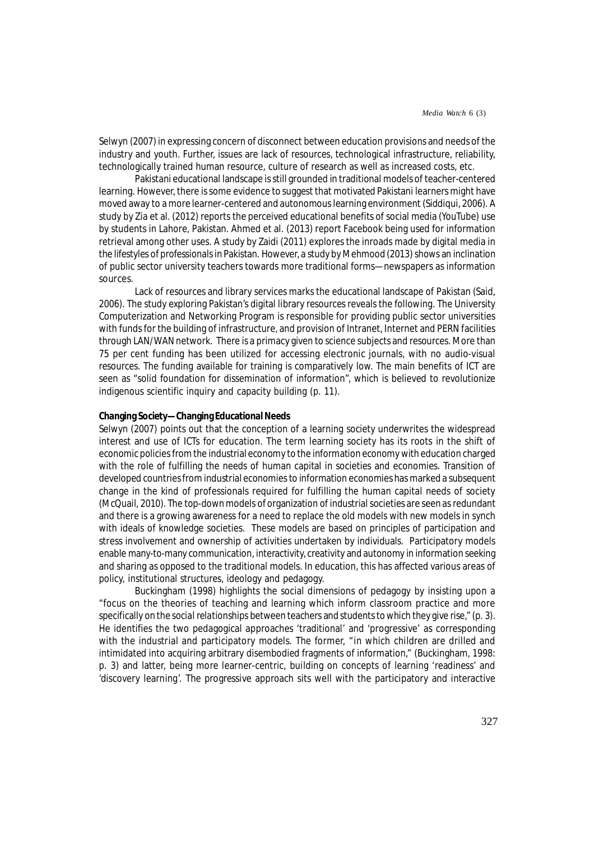Selwyn (2007) in expressing concern of disconnect between education provisions and needs of the industry and youth. Further, issues are lack of resources, technological infrastructure, reliability, technologically trained human resource, culture of research as well as increased costs, etc.

Pakistani educational landscape is still grounded in traditional models of teacher-centered learning. However, there is some evidence to suggest that motivated Pakistani learners might have moved away to a more learner-centered and autonomous learning environment (Siddiqui, 2006). A study by Zia et al. (2012) reports the perceived educational benefits of social media (YouTube) use by students in Lahore, Pakistan. Ahmed et al. (2013) report Facebook being used for information retrieval among other uses. A study by Zaidi (2011) explores the inroads made by digital media in the lifestyles of professionals in Pakistan. However, a study by Mehmood (2013) shows an inclination of public sector university teachers towards more traditional forms—newspapers as information sources.

Lack of resources and library services marks the educational landscape of Pakistan (Said, 2006). The study exploring Pakistan's digital library resources reveals the following. The University Computerization and Networking Program is responsible for providing public sector universities with funds for the building of infrastructure, and provision of Intranet, Internet and PERN facilities through LAN/WAN network. There is a primacy given to science subjects and resources. More than 75 per cent funding has been utilized for accessing electronic journals, with no audio-visual resources. The funding available for training is comparatively low. The main benefits of ICT are seen as "solid foundation for dissemination of information", which is believed to revolutionize indigenous scientific inquiry and capacity building (p. 11).

# **Changing Society—Changing Educational Needs**

Selwyn (2007) points out that the conception of a learning society underwrites the widespread interest and use of ICTs for education. The term learning society has its roots in the shift of economic policies from the industrial economy to the information economy with education charged with the role of fulfilling the needs of human capital in societies and economies. Transition of developed countries from industrial economies to information economies has marked a subsequent change in the kind of professionals required for fulfilling the human capital needs of society (McQuail, 2010). The top-down models of organization of industrial societies are seen as redundant and there is a growing awareness for a need to replace the old models with new models in synch with ideals of knowledge societies. These models are based on principles of participation and stress involvement and ownership of activities undertaken by individuals. Participatory models enable many-to-many communication, interactivity, creativity and autonomy in information seeking and sharing as opposed to the traditional models. In education, this has affected various areas of policy, institutional structures, ideology and pedagogy.

Buckingham (1998) highlights the social dimensions of pedagogy by insisting upon a "focus on the theories of teaching and learning which inform classroom practice and more specifically on the *social relationships* between teachers and students to which they give rise," (p. 3). He identifies the two pedagogical approaches 'traditional' and 'progressive' as corresponding with the industrial and participatory models. The former, "in which children are drilled and intimidated into acquiring arbitrary disembodied fragments of information," (Buckingham, 1998: p. 3) and latter, being more learner-centric, building on concepts of learning 'readiness' and 'discovery learning'. The progressive approach sits well with the participatory and interactive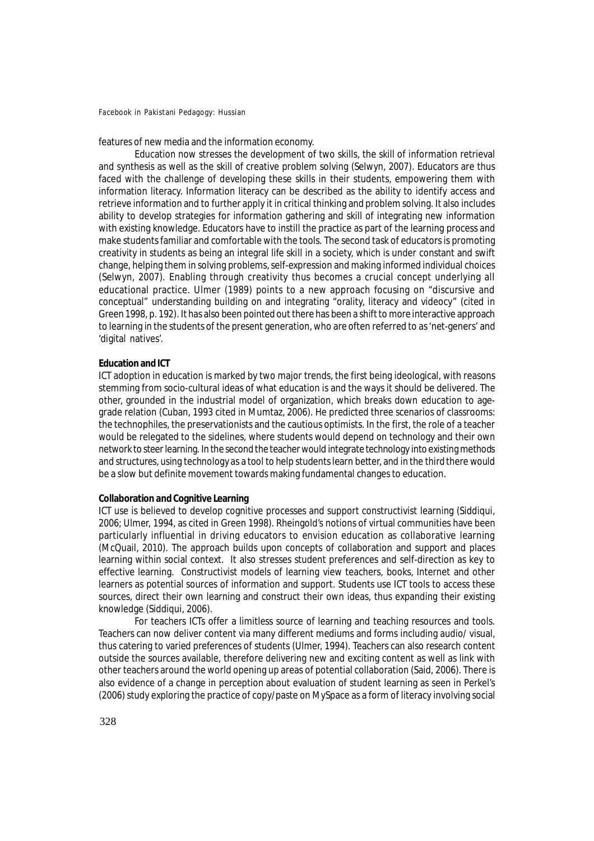features of new media and the information economy.

Education now stresses the development of two skills, the skill of information retrieval and synthesis as well as the skill of creative problem solving (Selwyn, 2007). Educators are thus faced with the challenge of developing these skills in their students, empowering them with information literacy. Information literacy can be described as the ability to identify access and retrieve information and to further apply it in critical thinking and problem solving. It also includes ability to develop strategies for information gathering and skill of integrating new information with existing knowledge. Educators have to instill the practice as part of the learning process and make students familiar and comfortable with the tools. The second task of educators is promoting creativity in students as being an integral life skill in a society, which is under constant and swift change, helping them in solving problems, self-expression and making informed individual choices (Selwyn, 2007). Enabling through creativity thus becomes a crucial concept underlying all educational practice. Ulmer (1989) points to a new approach focusing on "discursive and conceptual" understanding building on and integrating "orality, literacy and videocy" (cited in Green 1998, p. 192). It has also been pointed out there has been a shift to more interactive approach to learning in the students of the present generation, who are often referred to as 'net-geners' and 'digital natives'.

## **Education and ICT**

ICT adoption in education is marked by two major trends, the first being ideological, with reasons stemming from socio-cultural ideas of what education is and the ways it should be delivered. The other, grounded in the industrial model of organization, which breaks down education to agegrade relation (Cuban, 1993 cited in Mumtaz, 2006). He predicted three scenarios of classrooms: the technophiles, the preservationists and the cautious optimists. In the first, the role of a teacher would be relegated to the sidelines, where students would depend on technology and their own network to steer learning. In the second the teacher would integrate technology into existing methods and structures, using technology as a tool to help students learn better, and in the third there would be a slow but definite movement towards making fundamental changes to education.

# **Collaboration and Cognitive Learning**

ICT use is believed to develop cognitive processes and support constructivist learning (Siddiqui, 2006; Ulmer, 1994, as cited in Green 1998). Rheingold's notions of virtual communities have been particularly influential in driving educators to envision education as collaborative learning (McQuail, 2010). The approach builds upon concepts of collaboration and support and places learning within social context. It also stresses student preferences and self-direction as key to effective learning. Constructivist models of learning view teachers, books, Internet and other learners as potential sources of information and support. Students use ICT tools to access these sources, direct their own learning and construct their own ideas, thus expanding their existing knowledge (Siddiqui, 2006).

For teachers ICTs offer a limitless source of learning and teaching resources and tools. Teachers can now deliver content via many different mediums and forms including audio/ visual, thus catering to varied preferences of students (Ulmer, 1994). Teachers can also research content outside the sources available, therefore delivering new and exciting content as well as link with other teachers around the world opening up areas of potential collaboration (Said, 2006). There is also evidence of a change in perception about evaluation of student learning as seen in Perkel's (2006) study exploring the practice of copy/paste on MySpace as a form of literacy involving social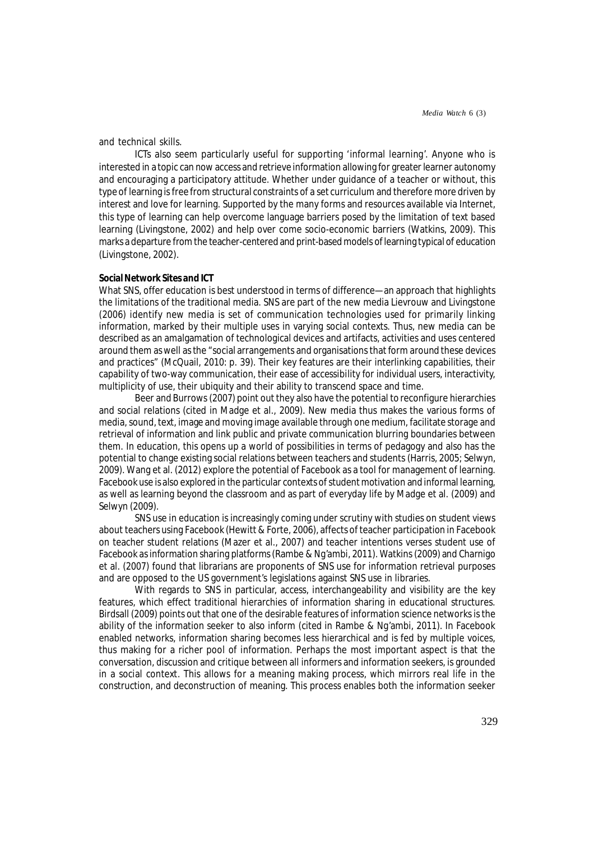*Media Watch* 6 (3)

and technical skills.

ICTs also seem particularly useful for supporting 'informal learning'. Anyone who is interested in a topic can now access and retrieve information allowing for greater learner autonomy and encouraging a participatory attitude. Whether under guidance of a teacher or without, this type of learning is free from structural constraints of a set curriculum and therefore more driven by interest and love for learning. Supported by the many forms and resources available via Internet, this type of learning can help overcome language barriers posed by the limitation of text based learning (Livingstone, 2002) and help over come socio-economic barriers (Watkins, 2009). This marks a departure from the teacher-centered and print-based models of learning typical of education (Livingstone, 2002).

# **Social Network Sites and ICT**

What SNS, offer education is best understood in terms of difference—an approach that highlights the limitations of the traditional media. SNS are part of the new media Lievrouw and Livingstone (2006) identify new media is set of communication technologies used for primarily linking information, marked by their multiple uses in varying social contexts. Thus, new media can be described as an amalgamation of technological devices and artifacts, activities and uses centered around them as well as the "social arrangements and organisations that form around these devices and practices" (McQuail, 2010: p. 39). Their key features are their interlinking capabilities, their capability of two-way communication, their ease of accessibility for individual users, interactivity, multiplicity of use, their ubiquity and their ability to transcend space and time.

Beer and Burrows (2007) point out they also have the potential to reconfigure hierarchies and social relations (cited in Madge et al., 2009). New media thus makes the various forms of media, sound, text, image and moving image available through one medium, facilitate storage and retrieval of information and link public and private communication blurring boundaries between them. In education, this opens up a world of possibilities in terms of pedagogy and also has the potential to change existing social relations between teachers and students (Harris, 2005; Selwyn, 2009). Wang et al. (2012) explore the potential of Facebook as a tool for management of learning. Facebook use is also explored in the particular contexts of student motivation and informal learning, as well as learning beyond the classroom and as part of everyday life by Madge et al. (2009) and Selwyn (2009).

SNS use in education is increasingly coming under scrutiny with studies on student views about teachers using Facebook (Hewitt & Forte, 2006), affects of teacher participation in Facebook on teacher student relations (Mazer et al., 2007) and teacher intentions verses student use of Facebook as information sharing platforms (Rambe & Ng'ambi, 2011). Watkins (2009) and Charnigo et al. (2007) found that librarians are proponents of SNS use for information retrieval purposes and are opposed to the US government's legislations against SNS use in libraries.

With regards to SNS in particular, access, interchangeability and visibility are the key features, which effect traditional hierarchies of information sharing in educational structures. Birdsall (2009) points out that one of the desirable features of information science networks is the ability of the information seeker to also inform (cited in Rambe & Ng'ambi, 2011). In Facebook enabled networks, information sharing becomes less hierarchical and is fed by multiple voices, thus making for a richer pool of information. Perhaps the most important aspect is that the conversation, discussion and critique between all informers and information seekers, is grounded in a social context. This allows for a meaning making process, which mirrors real life in the construction, and deconstruction of meaning. This process enables both the information seeker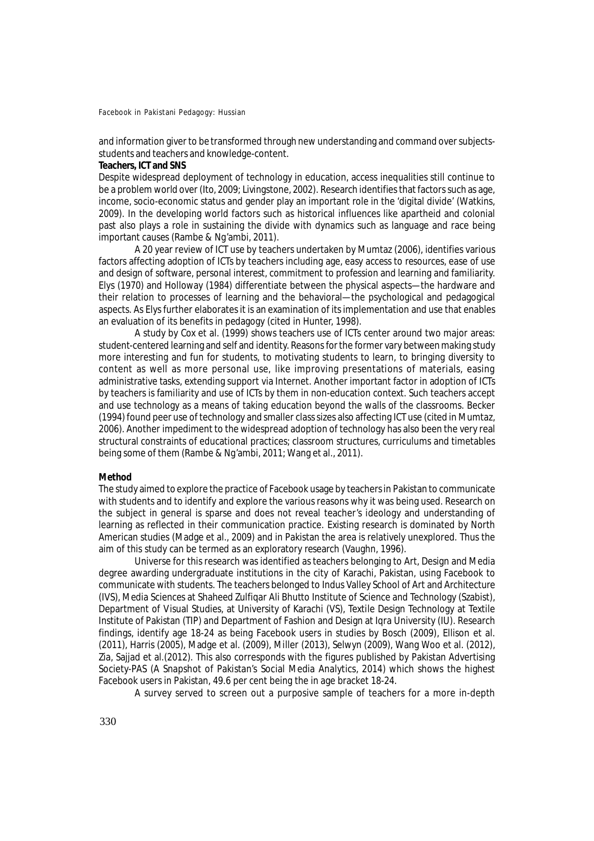and information giver to be transformed through new understanding and command over subjectsstudents and teachers and knowledge-content.

## **Teachers, ICT and SNS**

Despite widespread deployment of technology in education, access inequalities still continue to be a problem world over (Ito, 2009; Livingstone, 2002). Research identifies that factors such as age, income, socio-economic status and gender play an important role in the 'digital divide' (Watkins, 2009). In the developing world factors such as historical influences like apartheid and colonial past also plays a role in sustaining the divide with dynamics such as language and race being important causes (Rambe & Ng'ambi, 2011).

A 20 year review of ICT use by teachers undertaken by Mumtaz (2006), identifies various factors affecting adoption of ICTs by teachers including age, easy access to resources, ease of use and design of software, personal interest, commitment to profession and learning and familiarity. Elys (1970) and Holloway (1984) differentiate between the physical aspects—the hardware and their relation to processes of learning and the behavioral—the psychological and pedagogical aspects. As Elys further elaborates it is an examination of its implementation and use that enables an evaluation of its benefits in pedagogy (cited in Hunter, 1998).

A study by Cox et al. (1999) shows teachers use of ICTs center around two major areas: student-centered learning and self and identity. Reasons for the former vary between making study more interesting and fun for students, to motivating students to learn, to bringing diversity to content as well as more personal use, like improving presentations of materials, easing administrative tasks, extending support via Internet. Another important factor in adoption of ICTs by teachers is familiarity and use of ICTs by them in non-education context. Such teachers accept and use technology as a means of taking education beyond the walls of the classrooms. Becker (1994) found peer use of technology and smaller class sizes also affecting ICT use (cited in Mumtaz, 2006). Another impediment to the widespread adoption of technology has also been the very real structural constraints of educational practices; classroom structures, curriculums and timetables being some of them (Rambe & Ng'ambi, 2011; Wang et al., 2011).

## **Method**

The study aimed to explore the practice of Facebook usage by teachers in Pakistan to communicate with students and to identify and explore the various reasons why it was being used. Research on the subject in general is sparse and does not reveal teacher's ideology and understanding of learning as reflected in their communication practice. Existing research is dominated by North American studies (Madge et al., 2009) and in Pakistan the area is relatively unexplored. Thus the aim of this study can be termed as an exploratory research (Vaughn, 1996).

Universe for this research was identified as teachers belonging to Art, Design and Media degree awarding undergraduate institutions in the city of Karachi, Pakistan, using Facebook to communicate with students. The teachers belonged to Indus Valley School of Art and Architecture (IVS), Media Sciences at Shaheed Zulfiqar Ali Bhutto Institute of Science and Technology (Szabist), Department of Visual Studies, at University of Karachi (VS), Textile Design Technology at Textile Institute of Pakistan (TIP) and Department of Fashion and Design at Iqra University (IU). Research findings, identify age 18-24 as being Facebook users in studies by Bosch (2009), Ellison et al. (2011), Harris (2005), Madge et al. (2009), Miller (2013), Selwyn (2009), Wang Woo et al. (2012), Zia, Sajjad et al.(2012). This also corresponds with the figures published by Pakistan Advertising Society-PAS (A Snapshot of Pakistan's Social Media Analytics, 2014) which shows the highest Facebook users in Pakistan, 49.6 per cent being the in age bracket 18-24.

A survey served to screen out a purposive sample of teachers for a more in-depth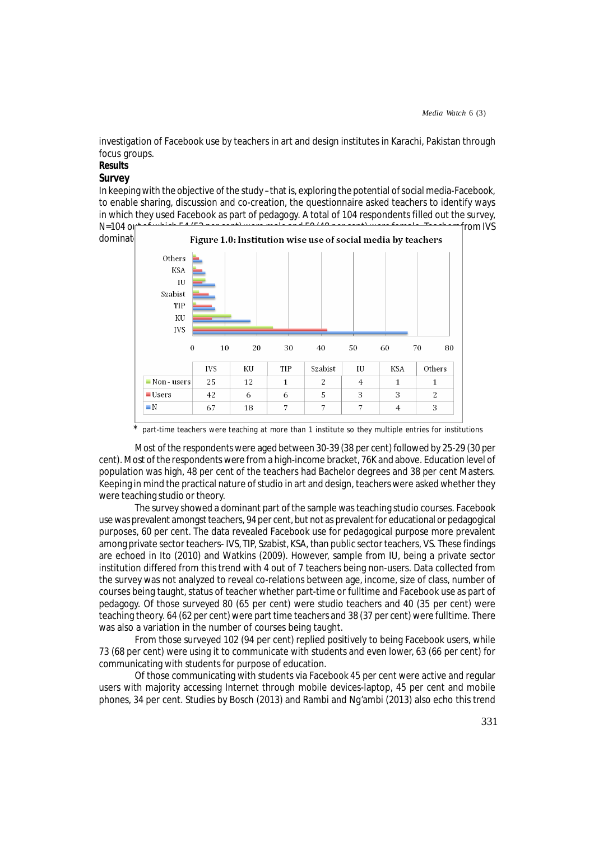investigation of Facebook use by teachers in art and design institutes in Karachi, Pakistan through focus groups.

# **Results**

# *Survey*

In keeping with the objective of the study –that is, exploring the potential of social media-Facebook, to enable sharing, discussion and co-creation, the questionnaire asked teachers to identify ways in which they used Facebook as part of pedagogy. A total of 104 respondents filled out the survey,





part-time teachers were teaching at more than 1 institute so they multiple entries for institutions

Most of the respondents were aged between 30-39 (38 per cent) followed by 25-29 (30 per cent). Most of the respondents were from a high-income bracket, 76K and above. Education level of population was high, 48 per cent of the teachers had Bachelor degrees and 38 per cent Masters. Keeping in mind the practical nature of studio in art and design, teachers were asked whether they were teaching studio or theory.

The survey showed a dominant part of the sample was teaching studio courses. Facebook use was prevalent amongst teachers, 94 per cent, but not as prevalent for educational or pedagogical purposes, 60 per cent. The data revealed Facebook use for pedagogical purpose more prevalent among private sector teachers- IVS, TIP, Szabist, KSA, than public sector teachers, VS. These findings are echoed in Ito (2010) and Watkins (2009). However, sample from IU, being a private sector institution differed from this trend with 4 out of 7 teachers being non-users. Data collected from the survey was not analyzed to reveal co-relations between age, income, size of class, number of courses being taught, status of teacher whether part-time or fulltime and Facebook use as part of pedagogy. Of those surveyed 80 (65 per cent) were studio teachers and 40 (35 per cent) were teaching theory. 64 (62 per cent) were part time teachers and 38 (37 per cent) were fulltime. There was also a variation in the number of courses being taught.

From those surveyed 102 (94 per cent) replied positively to being Facebook users, while 73 (68 per cent) were using it to communicate with students and even lower, 63 (66 per cent) for communicating with students for purpose of education.

Of those communicating with students via Facebook 45 per cent were active and regular users with majority accessing Internet through mobile devices-laptop, 45 per cent and mobile phones, 34 per cent. Studies by Bosch (2013) and Rambi and Ng'ambi (2013) also echo this trend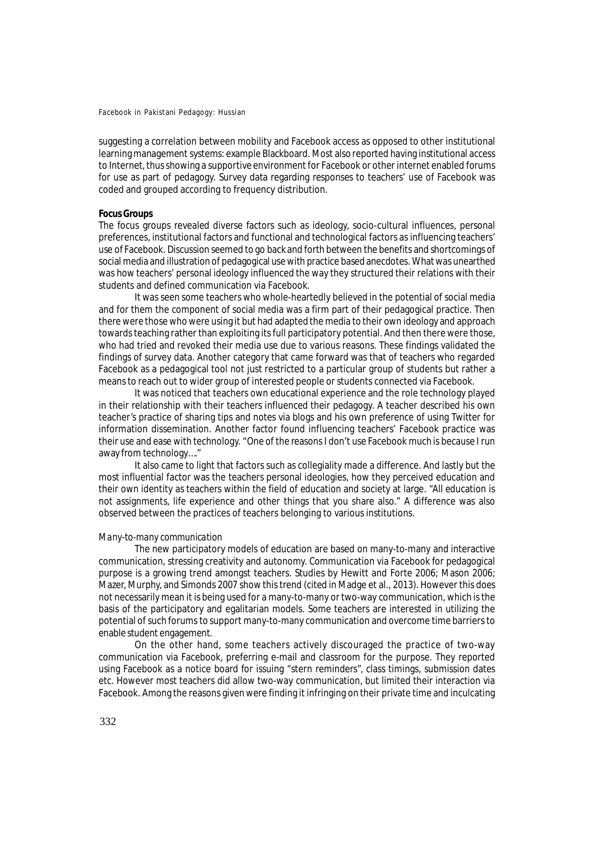suggesting a correlation between mobility and Facebook access as opposed to other institutional learning management systems: example Blackboard. Most also reported having institutional access to Internet, thus showing a supportive environment for Facebook or other internet enabled forums for use as part of pedagogy. Survey data regarding responses to teachers' use of Facebook was coded and grouped according to frequency distribution.

# **Focus Groups**

The focus groups revealed diverse factors such as ideology, socio-cultural influences, personal preferences, institutional factors and functional and technological factors as influencing teachers' use of Facebook. Discussion seemed to go back and forth between the benefits and shortcomings of social media and illustration of pedagogical use with practice based anecdotes. What was unearthed was how teachers' personal ideology influenced the way they structured their relations with their students and defined communication via Facebook.

It was seen some teachers who whole-heartedly believed in the potential of social media and for them the component of social media was a firm part of their pedagogical practice. Then there were those who were using it but had adapted the media to their own ideology and approach towards teaching rather than exploiting its full participatory potential. And then there were those, who had tried and revoked their media use due to various reasons. These findings validated the findings of survey data. Another category that came forward was that of teachers who regarded Facebook as a pedagogical tool not just restricted to a particular group of students but rather a means to reach out to wider group of interested people or students connected via Facebook.

It was noticed that teachers own educational experience and the role technology played in their relationship with their teachers influenced their pedagogy. A teacher described his own teacher's practice of sharing tips and notes via blogs and his own preference of using Twitter for information dissemination. Another factor found influencing teachers' Facebook practice was their use and ease with technology. "One of the reasons I don't use Facebook much is because I run away from technology…."

It also came to light that factors such as collegiality made a difference. And lastly but the most influential factor was the teachers personal ideologies, how they perceived education and their own identity as teachers within the field of education and society at large. "All education is not assignments, life experience and other things that you share also." A difference was also observed between the practices of teachers belonging to various institutions.

#### *Many-to-many communication*

The new participatory models of education are based on many-to-many and interactive communication, stressing creativity and autonomy. Communication via Facebook for pedagogical purpose is a growing trend amongst teachers. Studies by Hewitt and Forte 2006; Mason 2006; Mazer, Murphy, and Simonds 2007 show this trend (cited in Madge et al., 2013). However this does not necessarily mean it is being used for a many-to-many or two-way communication, which is the basis of the participatory and egalitarian models. Some teachers are interested in utilizing the potential of such forums to support many-to-many communication and overcome time barriers to enable student engagement.

On the other hand, some teachers actively discouraged the practice of two-way communication via Facebook, preferring e-mail and classroom for the purpose. They reported using Facebook as a notice board for issuing "stern reminders", class timings, submission dates etc. However most teachers did allow two-way communication, but limited their interaction via Facebook. Among the reasons given were finding it infringing on their private time and inculcating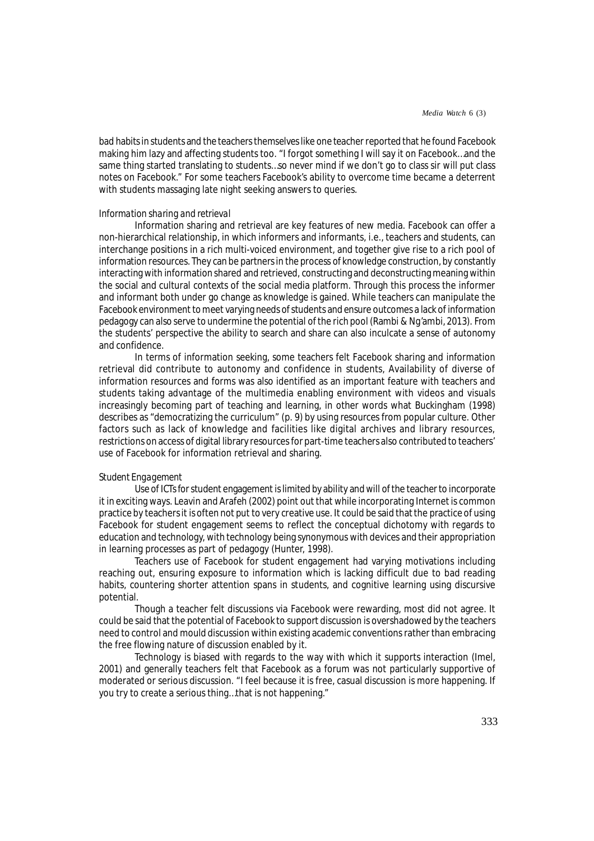bad habits in students and the teachers themselves like one teacher reported that he found Facebook making him lazy and affecting students too. "I forgot something I will say it on Facebook…and the same thing started translating to students…so never mind if we don't go to class sir will put class notes on Facebook." For some teachers Facebook's ability to overcome time became a deterrent with students massaging late night seeking answers to queries.

#### *Information sharing and retrieval*

Information sharing and retrieval are key features of new media. Facebook can offer a non-hierarchical relationship, in which informers and informants, i.e., teachers and students, can interchange positions in a rich multi-voiced environment, and together give rise to a rich pool of information resources. They can be partners in the process of knowledge construction, by constantly interacting with information shared and retrieved, constructing and deconstructing meaning within the social and cultural contexts of the social media platform. Through this process the informer and informant both under go change as knowledge is gained. While teachers can manipulate the Facebook environment to meet varying needs of students and ensure outcomes a lack of information pedagogy can also serve to undermine the potential of the rich pool (Rambi & Ng'ambi, 2013). From the students' perspective the ability to search and share can also inculcate a sense of autonomy and confidence.

In terms of information seeking, some teachers felt Facebook sharing and information retrieval did contribute to autonomy and confidence in students, Availability of diverse of information resources and forms was also identified as an important feature with teachers and students taking advantage of the multimedia enabling environment with videos and visuals increasingly becoming part of teaching and learning, in other words what Buckingham (1998) describes as "democratizing the curriculum" (p. 9) by using resources from popular culture. Other factors such as lack of knowledge and facilities like digital archives and library resources, restrictions on access of digital library resources for part-time teachers also contributed to teachers' use of Facebook for information retrieval and sharing.

## *Student Engagement*

Use of ICTs for student engagement is limited by ability and will of the teacher to incorporate it in exciting ways. Leavin and Arafeh (2002) point out that while incorporating Internet is common practice by teachers it is often not put to very creative use. It could be said that the practice of using Facebook for student engagement seems to reflect the conceptual dichotomy with regards to education and technology, with technology being synonymous with devices and their appropriation in learning processes as part of pedagogy (Hunter, 1998).

Teachers use of Facebook for student engagement had varying motivations including reaching out, ensuring exposure to information which is lacking difficult due to bad reading habits, countering shorter attention spans in students, and cognitive learning using discursive potential.

Though a teacher felt discussions via Facebook were rewarding, most did not agree. It could be said that the potential of Facebook to support discussion is overshadowed by the teachers need to control and mould discussion within existing academic conventions rather than embracing the free flowing nature of discussion enabled by it.

Technology is biased with regards to the way with which it supports interaction (Imel, 2001) and generally teachers felt that Facebook as a forum was not particularly supportive of moderated or serious discussion. "I feel because it is free, casual discussion is more happening. If you try to create a serious thing…that is not happening."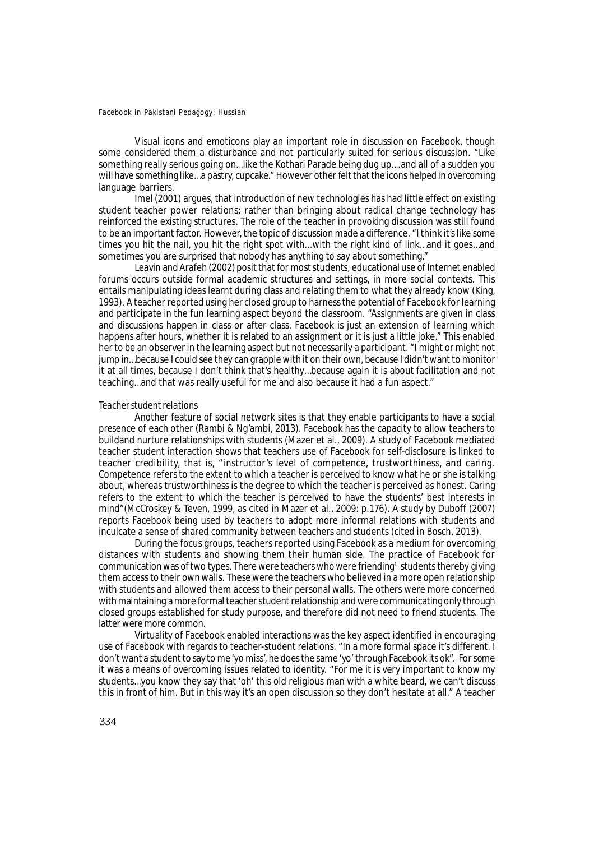Visual icons and emoticons play an important role in discussion on Facebook, though some considered them a disturbance and not particularly suited for serious discussion. "Like something really serious going on…like the Kothari Parade being dug up….and all of a sudden you will have something like…a pastry, cupcake." However other felt that the icons helped in overcoming language barriers.

Imel (2001) argues, that introduction of new technologies has had little effect on existing student teacher power relations; rather than bringing about radical change technology has reinforced the existing structures. The role of the teacher in provoking discussion was still found to be an important factor. However, the topic of discussion made a difference. "I think it's like some times you hit the nail, you hit the right spot with...with the right kind of link…and it goes…and sometimes you are surprised that nobody has anything to say about something."

Leavin and Arafeh (2002) posit that for most students, educational use of Internet enabled forums occurs outside formal academic structures and settings, in more social contexts. This entails manipulating ideas learnt during class and relating them to what they already know (King, 1993). A teacher reported using her closed group to harness the potential of Facebook for learning and participate in the fun learning aspect beyond the classroom. "Assignments are given in class and discussions happen in class or after class. Facebook is just an extension of learning which happens after hours, whether it is related to an assignment or it is just a little joke." This enabled her to be an observer in the learning aspect but not necessarily a participant. "I might or might not jump in...because I could see they can grapple with it on their own, because I didn't want to monitor it at all times, because I don't think that's healthy…because again it is about facilitation and not teaching…and that was really useful for me and also because it had a fun aspect."

#### *Teacher student relations*

Another feature of social network sites is that they enable participants to have a social presence of each other (Rambi & Ng'ambi, 2013). Facebook has the capacity to allow teachers to buildand nurture relationships with students (Mazer et al., 2009). A study of Facebook mediated teacher student interaction shows that teachers use of Facebook for self-disclosure is linked to teacher credibility, that is, "instructor's level of competence, trustworthiness, and caring. Competence refers to the extent to which a teacher is perceived to know what he or she is talking about, whereas trustworthiness is the degree to which the teacher is perceived as honest. Caring refers to the extent to which the teacher is perceived to have the students' best interests in mind"(McCroskey & Teven, 1999, as cited in Mazer et al., 2009: p.176). A study by Duboff (2007) reports Facebook being used by teachers to adopt more informal relations with students and inculcate a sense of shared community between teachers and students (cited in Bosch, 2013).

During the focus groups, teachers reported using Facebook as a medium for overcoming distances with students and showing them their human side. The practice of Facebook for communication was of two types. There were teachers who were friending<sup>1</sup> students thereby giving them access to their own walls. These were the teachers who believed in a more open relationship with students and allowed them access to their personal walls. The others were more concerned with maintaining a more formal teacher student relationship and were communicating only through closed groups established for study purpose, and therefore did not need to friend students. The latter were more common.

Virtuality of Facebook enabled interactions was the key aspect identified in encouraging use of Facebook with regards to teacher-student relations. "In a more formal space it's different. I don't want a student to say to me 'yo miss', he does the same 'yo' through Facebook its ok". For some it was a means of overcoming issues related to identity. "For me it is very important to know my students…you know they say that 'oh' this old religious man with a white beard, we can't discuss this in front of him. But in this way it's an open discussion so they don't hesitate at all." A teacher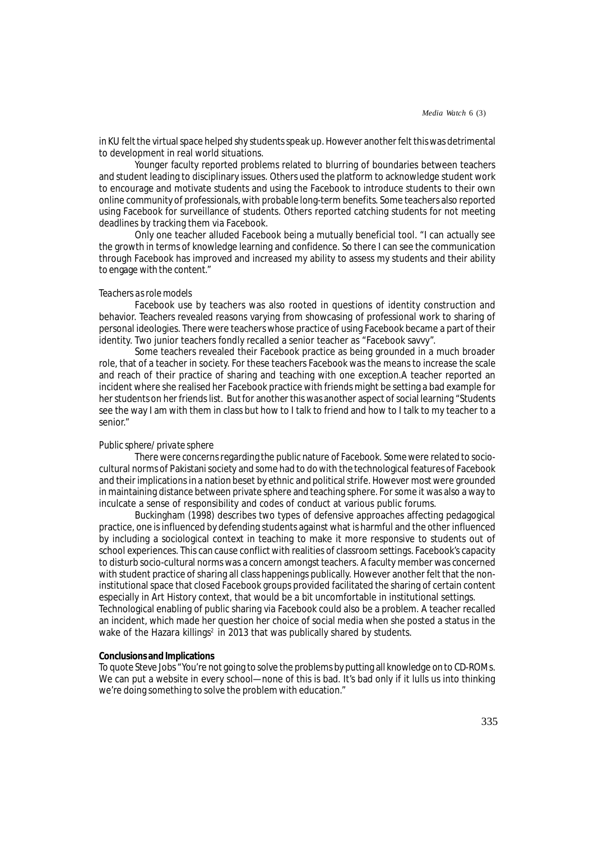in KU felt the virtual space helped shy students speak up. However another felt this was detrimental to development in real world situations.

Younger faculty reported problems related to blurring of boundaries between teachers and student leading to disciplinary issues. Others used the platform to acknowledge student work to encourage and motivate students and using the Facebook to introduce students to their own online community of professionals, with probable long-term benefits. Some teachers also reported using Facebook for surveillance of students. Others reported catching students for not meeting deadlines by tracking them via Facebook.

Only one teacher alluded Facebook being a mutually beneficial tool. "I can actually see the growth in terms of knowledge learning and confidence. So there I can see the communication through Facebook has improved and increased my ability to assess my students and their ability to engage with the content."

#### *Teachers as role models*

Facebook use by teachers was also rooted in questions of identity construction and behavior. Teachers revealed reasons varying from showcasing of professional work to sharing of personal ideologies. There were teachers whose practice of using Facebook became a part of their identity. Two junior teachers fondly recalled a senior teacher as "Facebook savvy".

Some teachers revealed their Facebook practice as being grounded in a much broader role, that of a teacher in society. For these teachers Facebook was the means to increase the scale and reach of their practice of sharing and teaching with one exception.A teacher reported an incident where she realised her Facebook practice with friends might be setting a bad example for her students on her friends list. But for another this was another aspect of social learning "Students see the way I am with them in class but how to I talk to friend and how to I talk to my teacher to a senior."

## *Public sphere/ private sphere*

There were concerns regarding the public nature of Facebook. Some were related to sociocultural norms of Pakistani society and some had to do with the technological features of Facebook and their implications in a nation beset by ethnic and political strife. However most were grounded in maintaining distance between private sphere and teaching sphere. For some it was also a way to inculcate a sense of responsibility and codes of conduct at various public forums.

Buckingham (1998) describes two types of defensive approaches affecting pedagogical practice, one is influenced by defending students against what is harmful and the other influenced by including a sociological context in teaching to make it more responsive to students out of school experiences. This can cause conflict with realities of classroom settings. Facebook's capacity to disturb socio-cultural norms was a concern amongst teachers. A faculty member was concerned with student practice of sharing all class happenings publically. However another felt that the noninstitutional space that closed Facebook groups provided facilitated the sharing of certain content especially in Art History context, that would be a bit uncomfortable in institutional settings. Technological enabling of public sharing via Facebook could also be a problem. A teacher recalled an incident, which made her question her choice of social media when she posted a status in the wake of the Hazara killings<sup>2</sup> in 2013 that was publically shared by students.

# **Conclusions and Implications**

To quote Steve Jobs "You're not going to solve the problems by putting all knowledge on to CD-ROMs. We can put a website in every school—none of this is bad. It's bad only if it lulls us into thinking we're doing something to solve the problem with education."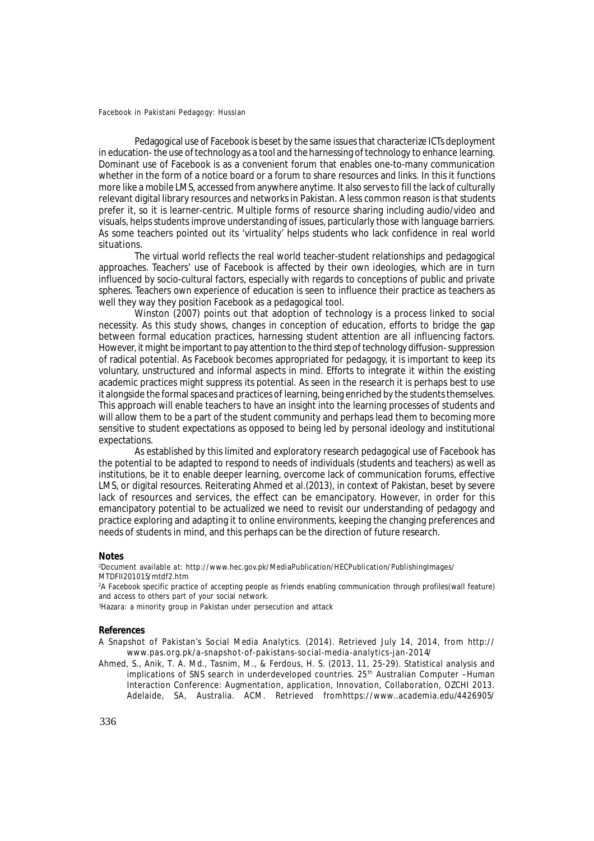Pedagogical use of Facebook is beset by the same issues that characterize ICTs deployment in education- the use of technology as a tool and the harnessing of technology to enhance learning. Dominant use of Facebook is as a convenient forum that enables one-to-many communication whether in the form of a notice board or a forum to share resources and links. In this it functions more like a mobile LMS, accessed from anywhere anytime. It also serves to fill the lack of culturally relevant digital library resources and networks in Pakistan. A less common reason is that students prefer it, so it is learner-centric. Multiple forms of resource sharing including audio/video and visuals, helps students improve understanding of issues, particularly those with language barriers. As some teachers pointed out its 'virtuality' helps students who lack confidence in real world situations.

The virtual world reflects the real world teacher-student relationships and pedagogical approaches. Teachers' use of Facebook is affected by their own ideologies, which are in turn influenced by socio-cultural factors, especially with regards to conceptions of public and private spheres. Teachers own experience of education is seen to influence their practice as teachers as well they way they position Facebook as a pedagogical tool.

Winston (2007) points out that adoption of technology is a process linked to social necessity. As this study shows, changes in conception of education, efforts to bridge the gap between formal education practices, harnessing student attention are all influencing factors. However, it might be important to pay attention to the third step of technology diffusion- suppression of radical potential. As Facebook becomes appropriated for pedagogy, it is important to keep its voluntary, unstructured and informal aspects in mind. Efforts to integrate it within the existing academic practices might suppress its potential. As seen in the research it is perhaps best to use it alongside the formal spaces and practices of learning, being enriched by the students themselves. This approach will enable teachers to have an insight into the learning processes of students and will allow them to be a part of the student community and perhaps lead them to becoming more sensitive to student expectations as opposed to being led by personal ideology and institutional expectations.

As established by this limited and exploratory research pedagogical use of Facebook has the potential to be adapted to respond to needs of individuals (students and teachers) as well as institutions, be it to enable deeper learning, overcome lack of communication forums, effective LMS, or digital resources. Reiterating Ahmed et al.(2013), in context of Pakistan, beset by severe lack of resources and services, the effect can be emancipatory. However, in order for this emancipatory potential to be actualized we need to revisit our understanding of pedagogy and practice exploring and adapting it to online environments, keeping the changing preferences and needs of students in mind, and this perhaps can be the direction of future research.

#### **Notes**

<sup>2</sup>Document available at: http://www.hec.gov.pk/MediaPublication/HECPublication/PublishingImages/ MTDFII201015/mtdf2.htm

<sup>2</sup>A Facebook specific practice of accepting people as friends enabling communication through profiles(wall feature) and access to others part of your social network.

<sup>3</sup>Hazara: a minority group in Pakistan under persecution and attack

#### **References**

A Snapshot of Pakistan's Social Media Analytics. (2014). Retrieved July 14, 2014, from http:// www.pas.org.pk/a-snapshot-of-pakistans-social-media-analytics-jan-2014/

Ahmed, S., Anik, T. A. Md., Tasnim, M., & Ferdous, H. S. (2013, 11, 25-29). Statistical analysis and implications of SNS search in underdeveloped countries. 25<sup>th</sup> Australian Computer -Human Interaction Conference: Augmentation, application, Innovation, Collaboration, OZCHI 2013. Adelaide, SA, Australia. ACM. Retrieved fromhttps://www..academia.edu/4426905/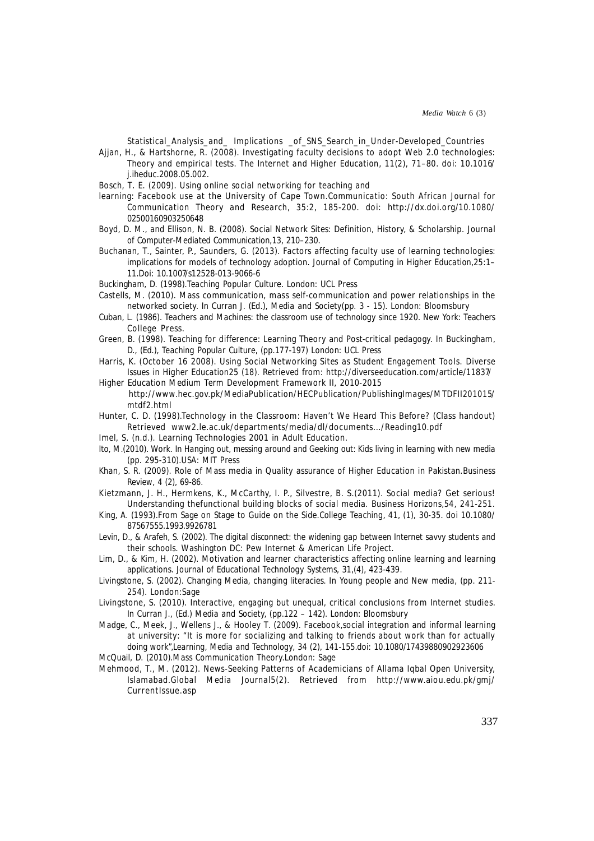Statistical\_Analysis\_and\_ Implications \_of\_SNS\_Search\_in\_Under-Developed\_Countries

- Ajjan, H., & Hartshorne, R. (2008). Investigating faculty decisions to adopt Web 2.0 technologies: Theory and empirical tests. *The Internet and Higher Education*, 11(2), 71–80. doi: 10.1016/ j.iheduc.2008.05.002.
- Bosch, T. E. (2009). Using online social networking for teaching and
- learning: Facebook use at the University of Cape Town.*Communicatio*: *South African Journal for Communication Theory and Research*, *35:2*, 185-200. doi: http://dx.doi.org/10.1080/ 02500160903250648
- Boyd, D. M., and Ellison, N. B. (2008). Social Network Sites: Definition, History, & Scholarship. *Journal of Computer-Mediated Communication,13,* 210–230.
- Buchanan, T., Sainter, P., Saunders, G. (2013). Factors affecting faculty use of learning technologies: implications for models of technology adoption. *Journal of Computing in Higher Education,25*:1– 11.Doi: 10.1007/s12528-013-9066-6
- Buckingham, D. (1998).*Teaching Popular Culture*. London: UCL Press
- Castells, M. (2010). Mass communication, mass self-communication and power relationships in the networked society. In Curran J. (Ed.), *Media and Society*(pp. 3 - 15). London: Bloomsbury
- Cuban, L. (1986). *Teachers and Machines: the classroom use of technology since 1920.* New York: Teachers College Press.
- Green, B. (1998). Teaching for difference: Learning Theory and Post-critical pedagogy. In Buckingham, D., (Ed.), *Teaching Popular Culture*, (pp.177-197) London: UCL Press
- Harris, K. (October 16 2008). Using Social Networking Sites as Student Engagement Tools. *Diverse Issues in Higher Education25 (18).* Retrieved from: http://diverseeducation.com/article/11837/
- Higher Education Medium Term Development Framework II, 2010-2015 http://www.hec.gov.pk/MediaPublication/HECPublication/PublishingImages/MTDFII201015/ mtdf2.html
- Hunter, C. D. (1998).Technology in the Classroom: Haven't We Heard This Before? (Class handout) Retrieved www2.le.ac.uk/departments/media/dl/documents.../Reading10.pdf
- Imel, S. (n.d.). Learning Technologies 2001 in Adult Education.
- Ito, M.(2010). Work. In *Hanging out, messing around and Geeking out: Kids living in learning with new media* (pp. 295-310).USA: MIT Press
- Khan, S. R. (2009). Role of Mass media in Quality assurance of Higher Education in Pakistan.*Business Review*, *4 (2),* 69-86.
- Kietzmann, J. H., Hermkens, K., McCarthy, I. P., Silvestre, B. S.(2011). Social media? Get serious! Understanding thefunctional building blocks of social media. *Business Horizons,54*, 241-251.
- King, A. (1993).From Sage on Stage to Guide on the Side.*College Teaching, 41, (1),* 30-35. doi 10.1080/ 87567555.1993.9926781
- Levin, D., & Arafeh, S. (2002). *The digital disconnect: the widening gap between Internet savvy students and their schools.* Washington DC: Pew Internet & American Life Project.
- Lim, D., & Kim, H. (2002). Motivation and learner characteristics affecting online learning and learning applications. *Journal of Educational Technology Systems*, *31,(4),* 423-439.
- Livingstone, S. (2002). Changing Media, changing literacies. In *Young people and New media,* (pp. 211- 254). London:Sage
- Livingstone, S. (2010). Interactive, engaging but unequal, critical conclusions from Internet studies. In Curran J., (Ed.) *Media and Society,* (pp.122 – 142). London: Bloomsbury
- Madge, C., Meek, J., Wellens J., & Hooley T. (2009). Facebook,social integration and informal learning at university: "It is more for socializing and talking to friends about work than for actually doing work",*Learning, Media and Technology*, *34 (2)*, 141-155.doi: 10.1080/17439880902923606
- McQuail, D. (2010).*Mass Communication Theory.*London: Sage
- Mehmood, T., M. (2012). News-Seeking Patterns of Academicians of Allama Iqbal Open University, Islamabad.*Global Media Journal5(2).* Retrieved from http://www.aiou.edu.pk/gmj/ CurrentIssue.asp